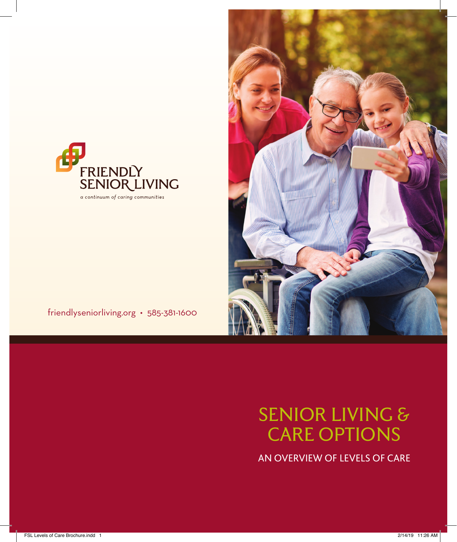

# SENIOR LIVING & CARE OPTIONS

AN OVERVIEW OF LEVELS OF CARE